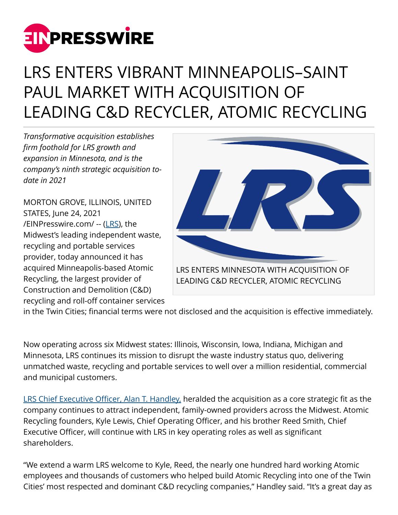

## LRS ENTERS VIBRANT MINNEAPOLIS–SAINT PAUL MARKET WITH ACQUISITION OF LEADING C&D RECYCLER, ATOMIC RECYCLING

*Transformative acquisition establishes firm foothold for LRS growth and expansion in Minnesota, and is the company's ninth strategic acquisition todate in 2021*

MORTON GROVE, ILLINOIS, UNITED STATES, June 24, 2021 [/EINPresswire.com/](http://www.einpresswire.com) -- [\(LRS\)](https://www.lrsrecycles.com/), the Midwest's leading independent waste, recycling and portable services provider, today announced it has acquired Minneapolis-based Atomic Recycling, the largest provider of Construction and Demolition (C&D) recycling and roll-off container services



in the Twin Cities; financial terms were not disclosed and the acquisition is effective immediately.

Now operating across six Midwest states: Illinois, Wisconsin, Iowa, Indiana, Michigan and Minnesota, LRS continues its mission to disrupt the waste industry status quo, delivering unmatched waste, recycling and portable services to well over a million residential, commercial and municipal customers.

[LRS Chief Executive Officer, Alan T. Handley,](https://www.lrsrecycles.com/about/management-team/) heralded the acquisition as a core strategic fit as the company continues to attract independent, family-owned providers across the Midwest. Atomic Recycling founders, Kyle Lewis, Chief Operating Officer, and his brother Reed Smith, Chief Executive Officer, will continue with LRS in key operating roles as well as significant shareholders.

"We extend a warm LRS welcome to Kyle, Reed, the nearly one hundred hard working Atomic employees and thousands of customers who helped build Atomic Recycling into one of the Twin Cities' most respected and dominant C&D recycling companies," Handley said. "It's a great day as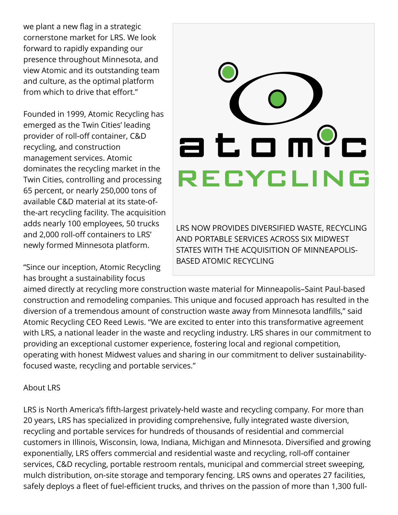we plant a new flag in a strategic cornerstone market for LRS. We look forward to rapidly expanding our presence throughout Minnesota, and view Atomic and its outstanding team and culture, as the optimal platform from which to drive that effort."

Founded in 1999, Atomic Recycling has emerged as the Twin Cities' leading provider of roll-off container, C&D recycling, and construction management services. Atomic dominates the recycling market in the Twin Cities, controlling and processing 65 percent, or nearly 250,000 tons of available C&D material at its state-ofthe-art recycling facility. The acquisition adds nearly 100 employees, 50 trucks and 2,000 roll-off containers to LRS' newly formed Minnesota platform.

"Since our inception, Atomic Recycling has brought a sustainability focus

## atom?c RECYCLING

LRS NOW PROVIDES DIVERSIFIED WASTE, RECYCLING AND PORTABLE SERVICES ACROSS SIX MIDWEST STATES WITH THE ACQUISITION OF MINNEAPOLIS-BASED ATOMIC RECYCLING

aimed directly at recycling more construction waste material for Minneapolis–Saint Paul-based construction and remodeling companies. This unique and focused approach has resulted in the diversion of a tremendous amount of construction waste away from Minnesota landfills," said Atomic Recycling CEO Reed Lewis. "We are excited to enter into this transformative agreement with LRS, a national leader in the waste and recycling industry. LRS shares in our commitment to providing an exceptional customer experience, fostering local and regional competition, operating with honest Midwest values and sharing in our commitment to deliver sustainabilityfocused waste, recycling and portable services."

## About LRS

LRS is North America's fifth-largest privately-held waste and recycling company. For more than 20 years, LRS has specialized in providing comprehensive, fully integrated waste diversion, recycling and portable services for hundreds of thousands of residential and commercial customers in Illinois, Wisconsin, Iowa, Indiana, Michigan and Minnesota. Diversified and growing exponentially, LRS offers commercial and residential waste and recycling, roll-off container services, C&D recycling, portable restroom rentals, municipal and commercial street sweeping, mulch distribution, on-site storage and temporary fencing. LRS owns and operates 27 facilities, safely deploys a fleet of fuel-efficient trucks, and thrives on the passion of more than 1,300 full